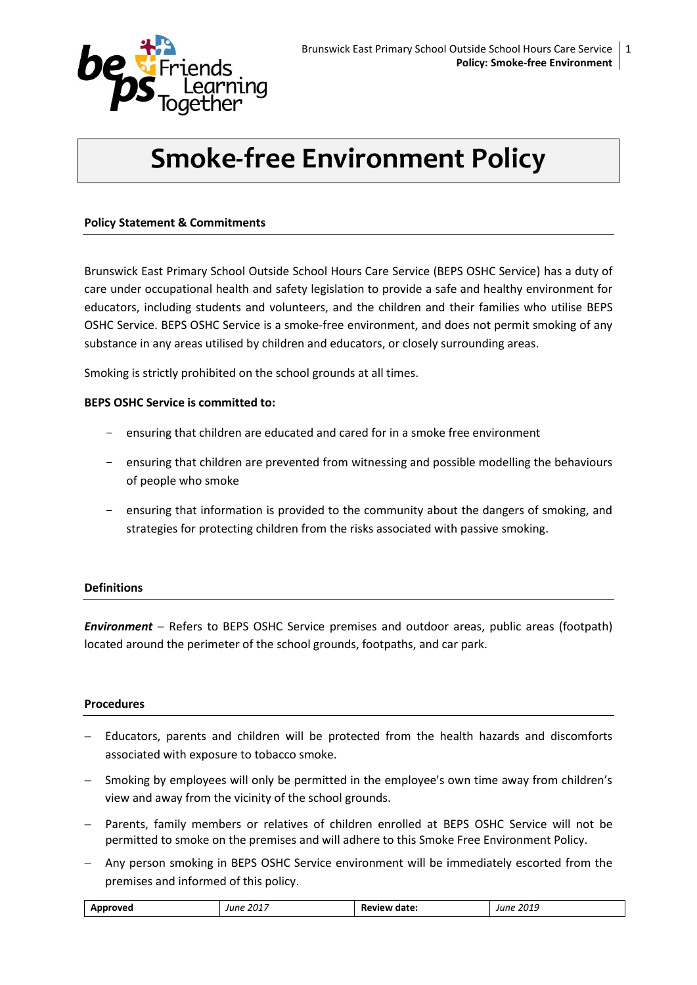

# **Smoke-free Environment Policy**

### **Policy Statement & Commitments**

Brunswick East Primary School Outside School Hours Care Service (BEPS OSHC Service) has a duty of care under occupational health and safety legislation to provide a safe and healthy environment for educators, including students and volunteers, and the children and their families who utilise BEPS OSHC Service. BEPS OSHC Service is a smoke-free environment, and does not permit smoking of any substance in any areas utilised by children and educators, or closely surrounding areas.

Smoking is strictly prohibited on the school grounds at all times.

### **BEPS OSHC Service is committed to:**

- ensuring that children are educated and cared for in a smoke free environment
- ensuring that children are prevented from witnessing and possible modelling the behaviours of people who smoke
- ensuring that information is provided to the community about the dangers of smoking, and strategies for protecting children from the risks associated with passive smoking.

### **Definitions**

**Environment** – Refers to BEPS OSHC Service premises and outdoor areas, public areas (footpath) located around the perimeter of the school grounds, footpaths, and car park.

### **Procedures**

- $-$  Educators, parents and children will be protected from the health hazards and discomforts associated with exposure to tobacco smoke.
- Smoking by employees will only be permitted in the employee's own time away from children's view and away from the vicinity of the school grounds.
- Parents, family members or relatives of children enrolled at BEPS OSHC Service will not be permitted to smoke on the premises and will adhere to this Smoke Free Environment Policy.
- Any person smoking in BEPS OSHC Service environment will be immediately escorted from the premises and informed of this policy.

| 2017<br>lune<br>ume<br>2015<br>'NU<br>uale.<br>$ -$<br>. |
|----------------------------------------------------------|
|----------------------------------------------------------|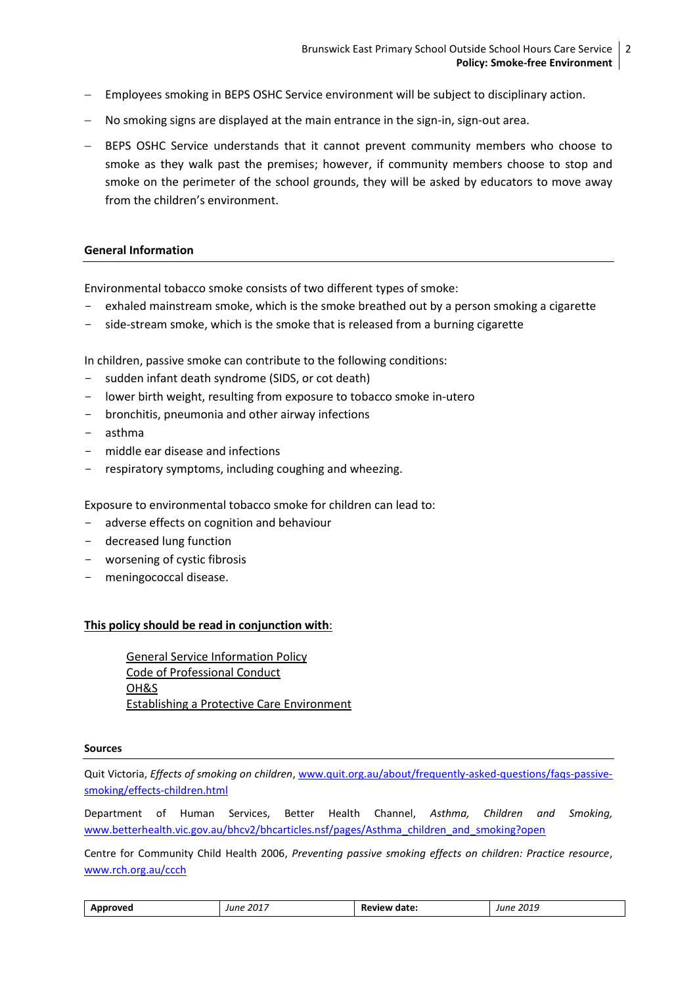- Employees smoking in BEPS OSHC Service environment will be subject to disciplinary action.
- No smoking signs are displayed at the main entrance in the sign-in, sign-out area.
- BEPS OSHC Service understands that it cannot prevent community members who choose to smoke as they walk past the premises; however, if community members choose to stop and smoke on the perimeter of the school grounds, they will be asked by educators to move away from the children's environment.

## **General Information**

Environmental tobacco smoke consists of two different types of smoke:

- exhaled mainstream smoke, which is the smoke breathed out by a person smoking a cigarette
- side-stream smoke, which is the smoke that is released from a burning cigarette

In children, passive smoke can contribute to the following conditions:

- sudden infant death syndrome (SIDS, or cot death)
- lower birth weight, resulting from exposure to tobacco smoke in-utero
- bronchitis, pneumonia and other airway infections
- asthma
- middle ear disease and infections
- respiratory symptoms, including coughing and wheezing.

Exposure to environmental tobacco smoke for children can lead to:

- adverse effects on cognition and behaviour
- decreased lung function
- worsening of cystic fibrosis
- meningococcal disease.

### **This policy should be read in conjunction with**:

General Service Information Policy Code of Professional Conduct OH&S Establishing a Protective Care Environment

#### **Sources**

Quit Victoria, *Effects of smoking on children*, [www.quit.org.au/about/frequently-asked-questions/faqs-passive](http://www.quit.org.au/about/frequently-asked-questions/faqs-passive-smoking/effects-children.html)[smoking/effects-children.html](http://www.quit.org.au/about/frequently-asked-questions/faqs-passive-smoking/effects-children.html)

Department of Human Services, Better Health Channel, *Asthma, Children and Smoking,* [www.betterhealth.vic.gov.au/bhcv2/bhcarticles.nsf/pages/Asthma\\_children\\_and\\_smoking?open](http://www.betterhealth.vic.gov.au/bhcv2/bhcarticles.nsf/pages/Asthma_children_and_smoking?open)

Centre for Community Child Health 2006, *Preventing passive smoking effects on children: Practice resource*, [www.rch.org.au/ccch](http://www.rch.org.au/ccch)

| Approved | . 2017<br>June | Review date: | : 2019<br>June |
|----------|----------------|--------------|----------------|
|----------|----------------|--------------|----------------|